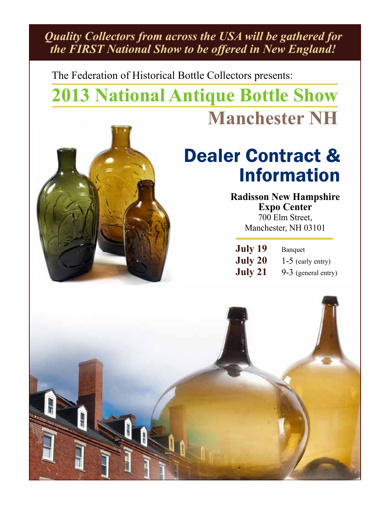*Quality Collectors from across the USA will be gathered for the FIRST National Show to be offered in New England!*

The Federation of Historical Bottle Collectors presents:

# **2013 National Antique Bottle Show Manchester NH**



## Dealer Contract & Information

**Radisson New Hampshire Expo Center** 700 Elm Street, Manchester, NH 03101

| July 19 | Banquet               |
|---------|-----------------------|
| July 20 | $1-5$ (early entry)   |
| July 21 | $9-3$ (general entry) |

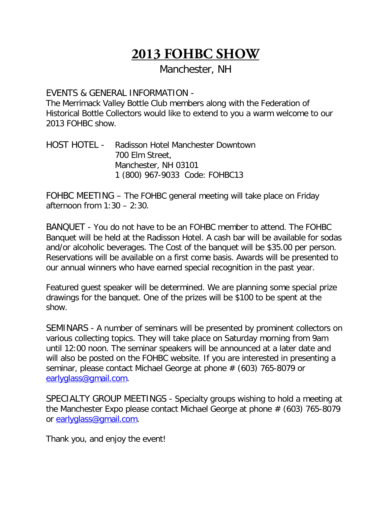Manchester, NH

#### EVENTS & GENERAL INFORMATION -

The Merrimack Valley Bottle Club members along with the Federation of Historical Bottle Collectors would like to extend to you a warm welcome to our 2013 FOHBC show.

HOST HOTEL - Radisson Hotel Manchester Downtown 700 Elm Street, Manchester, NH 03101 1 (800) 967-9033 Code: FOHBC13

FOHBC MEETING – The FOHBC general meeting will take place on Friday afternoon from 1:30 – 2:30.

BANQUET - You do not have to be an FOHBC member to attend. The FOHBC Banquet will be held at the Radisson Hotel. A cash bar will be available for sodas and/or alcoholic beverages. The Cost of the banquet will be \$35.00 per person. Reservations will be available on a first come basis. Awards will be presented to our annual winners who have earned special recognition in the past year.

Featured guest speaker will be determined. We are planning some special prize drawings for the banquet. One of the prizes will be \$100 to be spent at the show.

SEMINARS - A number of seminars will be presented by prominent collectors on various collecting topics. They will take place on Saturday morning from 9am until 12:00 noon. The seminar speakers will be announced at a later date and will also be posted on the FOHBC website. If you are interested in presenting a seminar, please contact Michael George at phone # (603) 765-8079 or [earlyglass@gmail.com.](mailto:earlyglass@gmail.com)

SPECIALTY GROUP MEETINGS - Specialty groups wishing to hold a meeting at the Manchester Expo please contact Michael George at phone # (603) 765-8079 or [earlyglass@gmail.com.](mailto:earlyglass@gmail.com)

Thank you, and enjoy the event!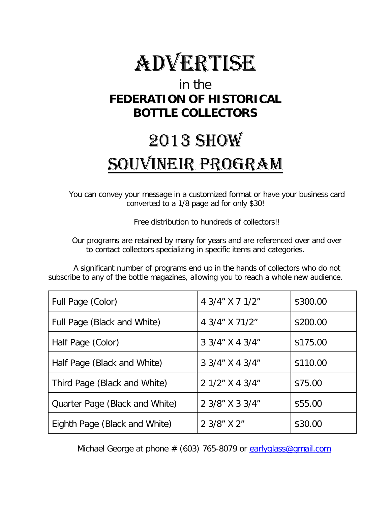

## in the **FEDERATION OF HISTORICAL BOTTLE COLLECTORS**

# 2013 SHOW SOUVINEIR PROGRAM

You can convey your message in a customized format or have your business card converted to a 1/8 page ad for only \$30!

Free distribution to hundreds of collectors!!

Our programs are retained by many for years and are referenced over and over to contact collectors specializing in specific items and categories.

A significant number of programs end up in the hands of collectors who do not subscribe to any of the bottle magazines, allowing you to reach a whole new audience.

| Full Page (Color)              | 4 3/4" X 7 1/2" | \$300.00 |
|--------------------------------|-----------------|----------|
| Full Page (Black and White)    | 4 3/4" X 71/2"  | \$200.00 |
| Half Page (Color)              | 3 3/4" X 4 3/4" | \$175.00 |
| Half Page (Black and White)    | 3 3/4" X 4 3/4" | \$110.00 |
| Third Page (Black and White)   | 2 1/2" X 4 3/4" | \$75.00  |
| Quarter Page (Black and White) | 2 3/8" X 3 3/4" | \$55.00  |
| Eighth Page (Black and White)  | 2 3/8" X 2"     | \$30.00  |

Michael George at phone  $# (603)$  765-8079 or [earlyglass@gmail.com](mailto:earlyglass@gmail.com)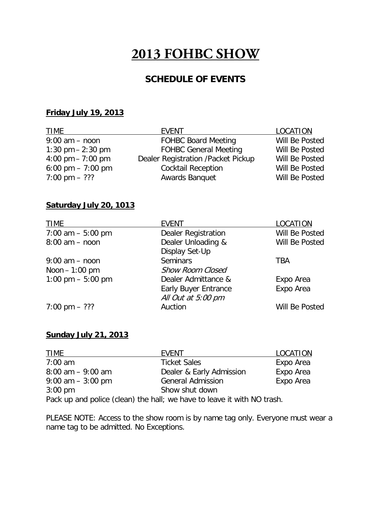#### **SCHEDULE OF EVENTS**

#### **Friday July 19, 2013**

| TIME                    | <b>EVENT</b>                       | LOCATION       |
|-------------------------|------------------------------------|----------------|
| $9:00$ am $-$ noon      | <b>FOHBC Board Meeting</b>         | Will Be Posted |
| 1:30 pm $- 2:30$ pm     | <b>FOHBC General Meeting</b>       | Will Be Posted |
| 4:00 pm $- 7:00$ pm     | Dealer Registration /Packet Pickup | Will Be Posted |
| 6:00 pm $-7:00$ pm      | <b>Cocktail Reception</b>          | Will Be Posted |
| $7:00 \text{ pm} - ???$ | <b>Awards Banquet</b>              | Will Be Posted |

#### **Saturday July 20, 1013**

| <b>TIME</b>             | <b>EVENT</b>                | LOCATION       |
|-------------------------|-----------------------------|----------------|
| 7:00 am $-5:00$ pm      | <b>Dealer Registration</b>  | Will Be Posted |
| $8:00$ am $-$ noon      | Dealer Unloading &          | Will Be Posted |
|                         | Display Set-Up              |                |
| $9:00$ am $-$ noon      | <b>Seminars</b>             | TBA            |
| Noon $-1:00$ pm         | <b>Show Room Closed</b>     |                |
| 1:00 pm $-$ 5:00 pm     | Dealer Admittance &         | Expo Area      |
|                         | <b>Early Buyer Entrance</b> | Expo Area      |
|                         | All Out at 5:00 pm          |                |
| $7:00 \text{ pm} - ???$ | Auction                     | Will Be Posted |

#### **Sunday July 21, 2013**

| <b>TIME</b>          | EVENT                    | <b>LOCATION</b> |
|----------------------|--------------------------|-----------------|
| $7:00$ am            | <b>Ticket Sales</b>      | Expo Area       |
| $8:00$ am $-9:00$ am | Dealer & Early Admission | Expo Area       |
| $9:00$ am $-3:00$ pm | <b>General Admission</b> | Expo Area       |
| $3:00 \text{ pm}$    | Show shut down           |                 |
|                      |                          |                 |

Pack up and police (clean) the hall; we have to leave it with NO trash.

PLEASE NOTE: Access to the show room is by name tag only. Everyone must wear a name tag to be admitted. No Exceptions.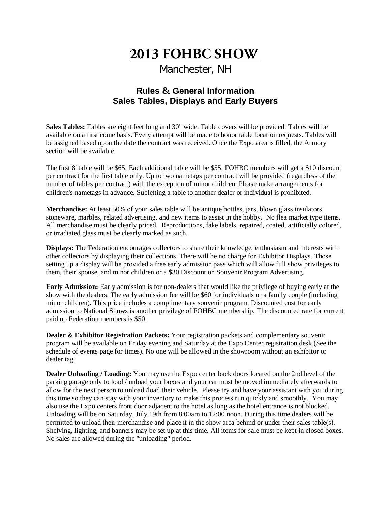Manchester, NH

#### **Rules & General Information Sales Tables, Displays and Early Buyers**

**Sales Tables:** Tables are eight feet long and 30" wide. Table covers will be provided. Tables will be available on a first come basis. Every attempt will be made to honor table location requests. Tables will be assigned based upon the date the contract was received. Once the Expo area is filled, the Armory section will be available.

The first 8' table will be \$65. Each additional table will be \$55. FOHBC members will get a \$10 discount per contract for the first table only. Up to two nametags per contract will be provided (regardless of the number of tables per contract) with the exception of minor children. Please make arrangements for children's nametags in advance. Subletting a table to another dealer or individual is prohibited.

**Merchandise:** At least 50% of your sales table will be antique bottles, jars, blown glass insulators, stoneware, marbles, related advertising, and new items to assist in the hobby. No flea market type items. All merchandise must be clearly priced. Reproductions, fake labels, repaired, coated, artificially colored, or irradiated glass must be clearly marked as such.

**Displays:** The Federation encourages collectors to share their knowledge, enthusiasm and interests with other collectors by displaying their collections. There will be no charge for Exhibitor Displays. Those setting up a display will be provided a free early admission pass which will allow full show privileges to them, their spouse, and minor children or a \$30 Discount on Souvenir Program Advertising.

**Early Admission:** Early admission is for non-dealers that would like the privilege of buying early at the show with the dealers. The early admission fee will be \$60 for individuals or a family couple (including minor children). This price includes a complimentary souvenir program. Discounted cost for early admission to National Shows is another privilege of FOHBC membership. The discounted rate for current paid up Federation members is \$50.

**Dealer & Exhibitor Registration Packets:** Your registration packets and complementary souvenir program will be available on Friday evening and Saturday at the Expo Center registration desk (See the schedule of events page for times). No one will be allowed in the showroom without an exhibitor or dealer tag.

**Dealer Unloading / Loading:** You may use the Expo center back doors located on the 2nd level of the parking garage only to load / unload your boxes and your car must be moved immediately afterwards to allow for the next person to unload /load their vehicle. Please try and have your assistant with you during this time so they can stay with your inventory to make this process run quickly and smoothly. You may also use the Expo centers front door adjacent to the hotel as long as the hotel entrance is not blocked. Unloading will be on Saturday, July 19th from 8:00am to 12:00 noon. During this time dealers will be permitted to unload their merchandise and place it in the show area behind or under their sales table(s). Shelving, lighting, and banners may be set up at this time. All items for sale must be kept in closed boxes. No sales are allowed during the "unloading" period.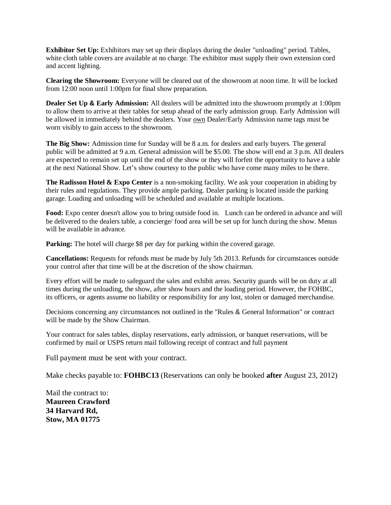**Exhibitor Set Up:** Exhibitors may set up their displays during the dealer "unloading" period. Tables, white cloth table covers are available at no charge. The exhibitor must supply their own extension cord and accent lighting.

**Clearing the Showroom:** Everyone will be cleared out of the showroom at noon time. It will be locked from 12:00 noon until 1:00pm for final show preparation.

**Dealer Set Up & Early Admission:** All dealers will be admitted into the showroom promptly at 1:00pm to allow them to arrive at their tables for setup ahead of the early admission group. Early Admission will be allowed in immediately behind the dealers. Your own Dealer/Early Admission name tags must be worn visibly to gain access to the showroom.

**The Big Show:** Admission time for Sunday will be 8 a.m. for dealers and early buyers. The general public will be admitted at 9 a.m. General admission will be \$5.00. The show will end at 3 p.m. All dealers are expected to remain set up until the end of the show or they will forfeit the opportunity to have a table at the next National Show. Let's show courtesy to the public who have come many miles to be there.

**The Radisson Hotel & Expo Center** is a non-smoking facility. We ask your cooperation in abiding by their rules and regulations. They provide ample parking. Dealer parking is located inside the parking garage. Loading and unloading will be scheduled and available at multiple locations.

**Food:** Expo center doesn't allow you to bring outside food in. Lunch can be ordered in advance and will be delivered to the dealers table, a concierge/ food area will be set up for lunch during the show. Menus will be available in advance.

**Parking:** The hotel will charge \$8 per day for parking within the covered garage.

**Cancellations:** Requests for refunds must be made by July 5th 2013. Refunds for circumstances outside your control after that time will be at the discretion of the show chairman.

Every effort will be made to safeguard the sales and exhibit areas. Security guards will be on duty at all times during the unloading, the show, after show hours and the loading period. However, the FOHBC, its officers, or agents assume no liability or responsibility for any lost, stolen or damaged merchandise.

Decisions concerning any circumstances not outlined in the "Rules & General Information" or contract will be made by the Show Chairman.

Your contract for sales tables, display reservations, early admission, or banquet reservations, will be confirmed by mail or USPS return mail following receipt of contract and full payment

Full payment must be sent with your contract.

Make checks payable to: **FOHBC13** (Reservations can only be booked **after** August 23, 2012)

Mail the contract to: **Maureen Crawford 34 Harvard Rd, Stow, MA 01775**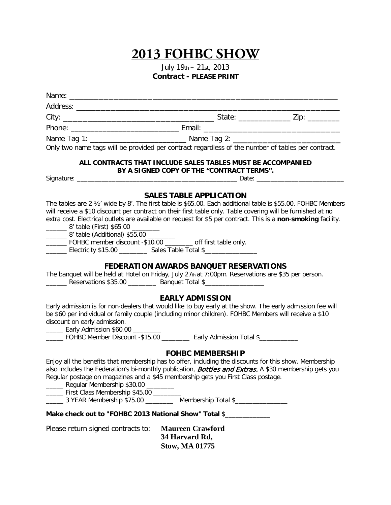July 19th – 21st, 2013 **Contract - PLEASE PRINT**

| Only two name tags will be provided per contract regardless of the number of tables per contract.                                                                                                                                                                                                                                                                                                                                                                                                                                                                                                                                                                                                                                                                                                                                                                                                                                                                                                                                                                   |                                                                                                           |  |
|---------------------------------------------------------------------------------------------------------------------------------------------------------------------------------------------------------------------------------------------------------------------------------------------------------------------------------------------------------------------------------------------------------------------------------------------------------------------------------------------------------------------------------------------------------------------------------------------------------------------------------------------------------------------------------------------------------------------------------------------------------------------------------------------------------------------------------------------------------------------------------------------------------------------------------------------------------------------------------------------------------------------------------------------------------------------|-----------------------------------------------------------------------------------------------------------|--|
|                                                                                                                                                                                                                                                                                                                                                                                                                                                                                                                                                                                                                                                                                                                                                                                                                                                                                                                                                                                                                                                                     | ALL CONTRACTS THAT INCLUDE SALES TABLES MUST BE ACCOMPANIED<br>BY A SIGNED COPY OF THE "CONTRACT TERMS".  |  |
|                                                                                                                                                                                                                                                                                                                                                                                                                                                                                                                                                                                                                                                                                                                                                                                                                                                                                                                                                                                                                                                                     |                                                                                                           |  |
| The tables are 2 1/2' wide by 8'. The first table is \$65.00. Each additional table is \$55.00. FOHBC Members<br>will receive a \$10 discount per contract on their first table only. Table covering will be furnished at no<br>extra cost. Electrical outlets are available on request for \$5 per contract. This is a non-smoking facility.<br>_________ 8' table (First) \$65.00 _________<br>__________ 8' table (Additional) \$55.00 __________<br>______ FOHBC member discount -\$10.00 _______ off first table only.<br>_______ Electricity \$15.00 _________ Sales Table Total \$________________________<br>The banquet will be held at Hotel on Friday, July 27th at 7:00pm. Reservations are \$35 per person.<br>________ Reservations \$35.00 __________ Banquet Total \$________________________<br>Early admission is for non-dealers that would like to buy early at the show. The early admission fee will<br>be \$60 per individual or family couple (including minor children). FOHBC Members will receive a \$10<br>discount on early admission. | <b>SALES TABLE APPLICATION</b><br><b>FEDERATION AWARDS BANQUET RESERVATIONS</b><br><b>EARLY ADMISSION</b> |  |
| <b>Early Admission \$60.00</b> [1001]<br>_____ FOHBC Member Discount -\$15.00 __________ Early Admission Total \$__________                                                                                                                                                                                                                                                                                                                                                                                                                                                                                                                                                                                                                                                                                                                                                                                                                                                                                                                                         |                                                                                                           |  |
| Enjoy all the benefits that membership has to offer, including the discounts for this show. Membership<br>also includes the Federation's bi-monthly publication, Bottles and Extras. A \$30 membership gets you<br>Regular postage on magazines and a \$45 membership gets you First Class postage.<br>_______ Regular Membership \$30.00 ________<br>______ First Class Membership \$45.00 _______<br>_______ 3 YEAR Membership \$75.00 ___________ Membership Total \$_________________                                                                                                                                                                                                                                                                                                                                                                                                                                                                                                                                                                           | <b>FOHBC MEMBERSHIP</b>                                                                                   |  |
| Make check out to "FOHBC 2013 National Show" Total \$                                                                                                                                                                                                                                                                                                                                                                                                                                                                                                                                                                                                                                                                                                                                                                                                                                                                                                                                                                                                               |                                                                                                           |  |
| Please return signed contracts to:                                                                                                                                                                                                                                                                                                                                                                                                                                                                                                                                                                                                                                                                                                                                                                                                                                                                                                                                                                                                                                  | <b>Maureen Crawford</b><br>34 Harvard Rd,                                                                 |  |

**Stow, MA 01775**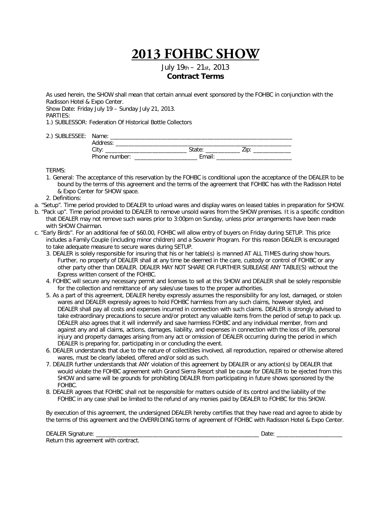July 19th – 21st, 2013 **Contract Terms**

As used herein, the SHOW shall mean that certain annual event sponsored by the FOHBC in conjunction with the Radisson Hotel & Expo Center.

Show Date: Friday July 19 – Sunday July 21, 2013.

PARTIES:

1.) SUBLESSOR: Federation Of Historical Bottle Collectors

2.) SUBLESSEE: Name:

| .<br>Address: |        |  |
|---------------|--------|--|
| City:         | State: |  |
| Phone number: | Email  |  |

TERMS:

- 1. General: The acceptance of this reservation by the FOHBC is conditional upon the acceptance of the DEALER to be bound by the terms of this agreement and the terms of the agreement that FOHBC has with the Radisson Hotel & Expo Center for SHOW space.
- 2. Definitions:
- a. "Setup". Time period provided to DEALER to unload wares and display wares on leased tables in preparation for SHOW.
- b. "Pack up". Time period provided to DEALER to remove unsold wares from the SHOW premises. It is a specific condition that DEALER may not remove such wares prior to 3:00pm on Sunday, unless prior arrangements have been made with SHOW Chairman.
- c. "Early Birds". For an additional fee of \$60.00, FOHBC will allow entry of buyers on Friday during SETUP. This price includes a Family Couple (including minor children) and a Souvenir Program. For this reason DEALER is encouraged to take adequate measure to secure wares during SETUP.
	- 3. DEALER is solely responsible for insuring that his or her table(s) is manned AT ALL TIMES during show hours. Further, no property of DEALER shall at any time be deemed in the care, custody or control of FOHBC or any other party other than DEALER. DEALER MAY NOT SHARE OR FURTHER SUBLEASE ANY TABLE(S) without the Express written consent of the FOHBC.
	- 4. FOHBC will secure any necessary permit and licenses to sell at this SHOW and DEALER shall be solely responsible for the collection and remittance of any sales/use taxes to the proper authorities.
	- 5. As a part of this agreement, DEALER hereby expressly assumes the responsibility for any lost, damaged, or stolen wares and DEALER expressly agrees to hold FOHBC harmless from any such claims, however styled, and DEALER shall pay all costs and expenses incurred in connection with such claims. DEALER is strongly advised to take extraordinary precautions to secure and/or protect any valuable items from the period of setup to pack up. DEALER also agrees that it will indemnify and save harmless FOHBC and any individual member, from and against any and all claims, actions, damages, liability, and expenses in connection with the loss of life, personal injury and property damages arising from any act or omission of DEALER occurring during the period in which DEALER is preparing for, participating in or concluding the event.
	- 6. DEALER understands that due to the nature of collectibles involved, all reproduction, repaired or otherwise altered wares, must be clearly labeled, offered and/or sold as such.
	- 7. DEALER further understands that ANY violation of this agreement by DEALER or any action(s) by DEALER that would violate the FOHBC agreement with Grand Sierra Resort shall be cause for DEALER to be ejected from this SHOW and same will be grounds for prohibiting DEALER from participating in future shows sponsored by the FOHBC.
	- 8. DEALER agrees that FOHBC shall not be responsible for matters outside of its control and the liability of the FOHBC in any case shall be limited to the refund of any monies paid by DEALER to FOHBC for this SHOW.

By execution of this agreement, the undersigned DEALER hereby certifies that they have read and agree to abide by the terms of this agreement and the OVERRIDING terms of agreement of FOHBC with Radisson Hotel & Expo Center.